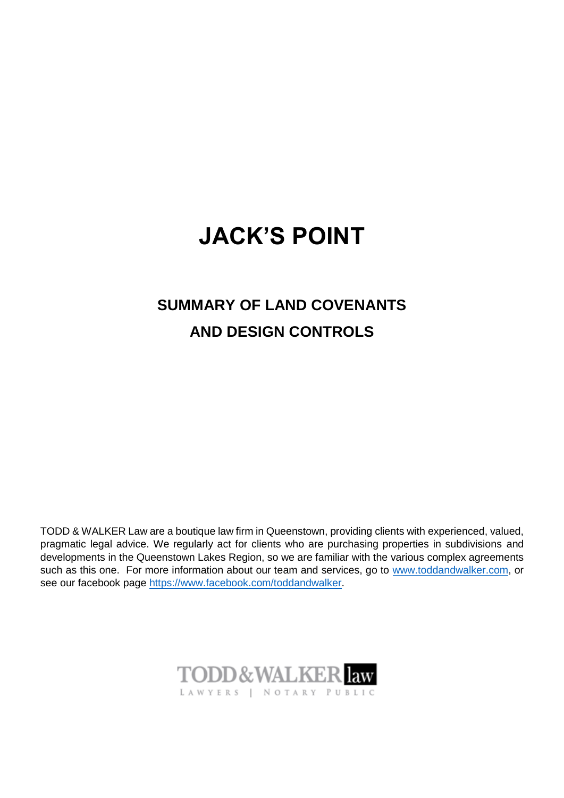## **JACK'S POINT**

## **SUMMARY OF LAND COVENANTS AND DESIGN CONTROLS**

TODD & WALKER Law are a boutique law firm in Queenstown, providing clients with experienced, valued, pragmatic legal advice. We regularly act for clients who are purchasing properties in subdivisions and developments in the Queenstown Lakes Region, so we are familiar with the various complex agreements such as this one. For more information about our team and services, go to [www.toddandwalker.com,](http://www.toddandwalker.com/) or see our facebook page [https://www.facebook.com/toddandwalker.](https://www.facebook.com/toddandwalker)

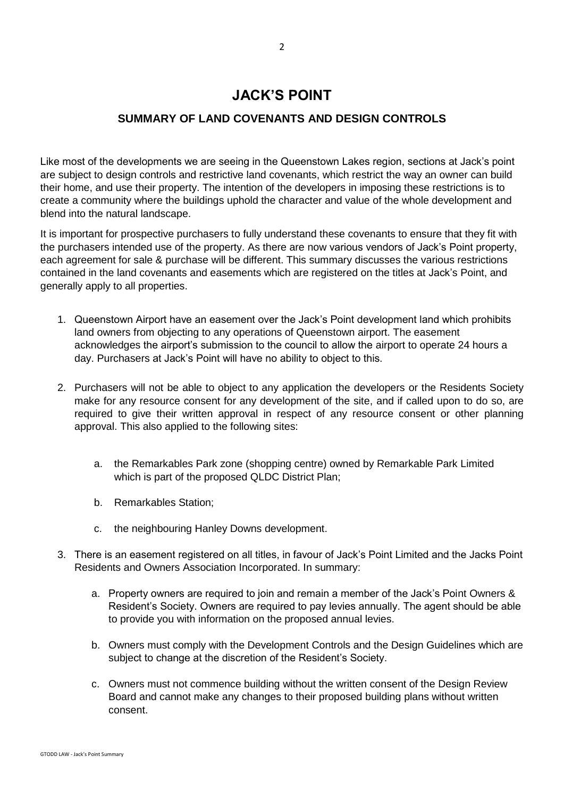## **JACK'S POINT**

## **SUMMARY OF LAND COVENANTS AND DESIGN CONTROLS**

Like most of the developments we are seeing in the Queenstown Lakes region, sections at Jack's point are subject to design controls and restrictive land covenants, which restrict the way an owner can build their home, and use their property. The intention of the developers in imposing these restrictions is to create a community where the buildings uphold the character and value of the whole development and blend into the natural landscape.

It is important for prospective purchasers to fully understand these covenants to ensure that they fit with the purchasers intended use of the property. As there are now various vendors of Jack's Point property, each agreement for sale & purchase will be different. This summary discusses the various restrictions contained in the land covenants and easements which are registered on the titles at Jack's Point, and generally apply to all properties.

- 1. Queenstown Airport have an easement over the Jack's Point development land which prohibits land owners from objecting to any operations of Queenstown airport. The easement acknowledges the airport's submission to the council to allow the airport to operate 24 hours a day. Purchasers at Jack's Point will have no ability to object to this.
- 2. Purchasers will not be able to object to any application the developers or the Residents Society make for any resource consent for any development of the site, and if called upon to do so, are required to give their written approval in respect of any resource consent or other planning approval. This also applied to the following sites:
	- a. the Remarkables Park zone (shopping centre) owned by Remarkable Park Limited which is part of the proposed QLDC District Plan;
	- b. Remarkables Station;
	- c. the neighbouring Hanley Downs development.
- 3. There is an easement registered on all titles, in favour of Jack's Point Limited and the Jacks Point Residents and Owners Association Incorporated. In summary:
	- a. Property owners are required to join and remain a member of the Jack's Point Owners & Resident's Society. Owners are required to pay levies annually. The agent should be able to provide you with information on the proposed annual levies.
	- b. Owners must comply with the Development Controls and the Design Guidelines which are subject to change at the discretion of the Resident's Society.
	- c. Owners must not commence building without the written consent of the Design Review Board and cannot make any changes to their proposed building plans without written consent.